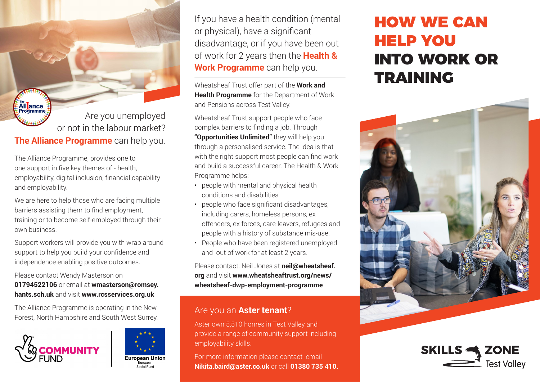All**ance** Are you unemployed or not in the labour market? **The Alliance Programme** can help you.

The Alliance Programme, provides one to one support in five key themes of - health, employability, digital inclusion, financial capability and employability.

We are here to help those who are facing multiple barriers assisting them to find employment, training or to become self-employed through their own business.

Support workers will provide you with wrap around support to help you build your confidence and independence enabling positive outcomes.

Please contact Wendy Masterson on

**01794522106** or email at **wmasterson@romsey. hants.sch.uk** and visit **www.rcsservices.org.uk**

The Alliance Programme is operating in the New The Alliance Programme is operating in the New **Are you an Aster tenant**?<br>Forest, North Hampshire and South West Surrey.





If you have a health condition (mental or physical), have a significant disadvantage, or if you have been out of work for 2 years then the **Health & Work Programme** can help you.

Wheatsheaf Trust offer part of the **Work and Health Programme** for the Department of Work and Pensions across Test Valley.

Wheatsheaf Trust support people who face complex barriers to finding a job. Through **"Opportunities Unlimited"** they will help you through a personalised service. The idea is that with the right support most people can find work and build a successful career. The Health & Work Programme helps:

- people with mental and physical health conditions and disabilities
- people who face significant disadvantages, including carers, homeless persons, ex offenders, ex forces, care-leavers, refugees and people with a history of substance mis-use.
- People who have been registered unemployed and out of work for at least 2 years.

Please contact: Neil Jones at **neil@wheatsheaf. org** and visit **www.wheatsheaftrust.org/news/ wheatsheaf-dwp-employment-programme**

Aster own 5,510 homes in Test Valley and provide a range of community support including employability skills.

For more information please contact email **Nikita.baird@aster.co.uk** or call **01380 735 410.**

## HOW WE CAN HELP YOU INTO WORK OR TRAINING